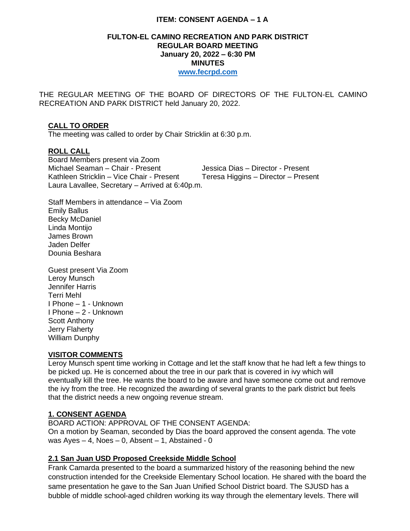### **ITEM: CONSENT AGENDA – 1 A**

### **FULTON-EL CAMINO RECREATION AND PARK DISTRICT REGULAR BOARD MEETING January 20, 2022 – 6:30 PM MINUTES [www.fecrpd.com](http://www.fecrpd.com/)**

THE REGULAR MEETING OF THE BOARD OF DIRECTORS OF THE FULTON-EL CAMINO RECREATION AND PARK DISTRICT held January 20, 2022.

### **CALL TO ORDER**

The meeting was called to order by Chair Stricklin at 6:30 p.m.

### **ROLL CALL**

Board Members present via Zoom Michael Seaman – Chair - Present Jessica Dias – Director - Present Kathleen Stricklin – Vice Chair - Present Teresa Higgins – Director – Present Laura Lavallee, Secretary – Arrived at 6:40p.m.

Staff Members in attendance – Via Zoom Emily Ballus Becky McDaniel Linda Montijo James Brown Jaden Delfer Dounia Beshara

Guest present Via Zoom Leroy Munsch Jennifer Harris Terri Mehl I Phone – 1 - Unknown I Phone – 2 - Unknown Scott Anthony Jerry Flaherty William Dunphy

#### **VISITOR COMMENTS**

Leroy Munsch spent time working in Cottage and let the staff know that he had left a few things to be picked up. He is concerned about the tree in our park that is covered in ivy which will eventually kill the tree. He wants the board to be aware and have someone come out and remove the ivy from the tree. He recognized the awarding of several grants to the park district but feels that the district needs a new ongoing revenue stream.

### **1. CONSENT AGENDA**

BOARD ACTION: APPROVAL OF THE CONSENT AGENDA: On a motion by Seaman, seconded by Dias the board approved the consent agenda. The vote was  $Ayes - 4$ , Noes  $- 0$ , Absent  $- 1$ , Abstained - 0

### **2.1 San Juan USD Proposed Creekside Middle School**

Frank Camarda presented to the board a summarized history of the reasoning behind the new construction intended for the Creekside Elementary School location. He shared with the board the same presentation he gave to the San Juan Unified School District board. The SJUSD has a bubble of middle school-aged children working its way through the elementary levels. There will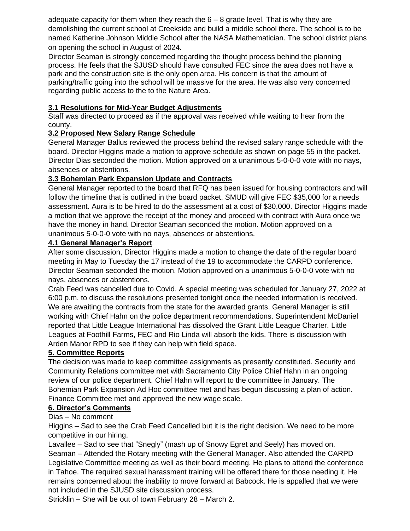adequate capacity for them when they reach the  $6 - 8$  grade level. That is why they are demolishing the current school at Creekside and build a middle school there. The school is to be named Katherine Johnson Middle School after the NASA Mathematician. The school district plans on opening the school in August of 2024.

Director Seaman is strongly concerned regarding the thought process behind the planning process. He feels that the SJUSD should have consulted FEC since the area does not have a park and the construction site is the only open area. His concern is that the amount of parking/traffic going into the school will be massive for the area. He was also very concerned regarding public access to the to the Nature Area.

## **3.1 Resolutions for Mid-Year Budget Adjustments**

Staff was directed to proceed as if the approval was received while waiting to hear from the county.

## **3.2 Proposed New Salary Range Schedule**

General Manager Ballus reviewed the process behind the revised salary range schedule with the board. Director Higgins made a motion to approve schedule as shown on page 55 in the packet. Director Dias seconded the motion. Motion approved on a unanimous 5-0-0-0 vote with no nays, absences or abstentions.

## **3.3 Bohemian Park Expansion Update and Contracts**

General Manager reported to the board that RFQ has been issued for housing contractors and will follow the timeline that is outlined in the board packet. SMUD will give FEC \$35,000 for a needs assessment. Aura is to be hired to do the assessment at a cost of \$30,000. Director Higgins made a motion that we approve the receipt of the money and proceed with contract with Aura once we have the money in hand. Director Seaman seconded the motion. Motion approved on a unanimous 5-0-0-0 vote with no nays, absences or abstentions.

## **4.1 General Manager's Report**

After some discussion, Director Higgins made a motion to change the date of the regular board meeting in May to Tuesday the 17 instead of the 19 to accommodate the CARPD conference. Director Seaman seconded the motion. Motion approved on a unanimous 5-0-0-0 vote with no nays, absences or abstentions.

Crab Feed was cancelled due to Covid. A special meeting was scheduled for January 27, 2022 at 6:00 p.m. to discuss the resolutions presented tonight once the needed information is received. We are awaiting the contracts from the state for the awarded grants. General Manager is still working with Chief Hahn on the police department recommendations. Superintendent McDaniel reported that Little League International has dissolved the Grant Little League Charter. Little Leagues at Foothill Farms, FEC and Rio Linda will absorb the kids. There is discussion with Arden Manor RPD to see if they can help with field space.

## **5. Committee Reports**

The decision was made to keep committee assignments as presently constituted. Security and Community Relations committee met with Sacramento City Police Chief Hahn in an ongoing review of our police department. Chief Hahn will report to the committee in January. The Bohemian Park Expansion Ad Hoc committee met and has begun discussing a plan of action. Finance Committee met and approved the new wage scale.

# **6. Director's Comments**

Dias – No comment

Higgins – Sad to see the Crab Feed Cancelled but it is the right decision. We need to be more competitive in our hiring.

Lavallee – Sad to see that "Snegly" (mash up of Snowy Egret and Seely) has moved on. Seaman – Attended the Rotary meeting with the General Manager. Also attended the CARPD Legislative Committee meeting as well as their board meeting. He plans to attend the conference in Tahoe. The required sexual harassment training will be offered there for those needing it. He remains concerned about the inability to move forward at Babcock. He is appalled that we were not included in the SJUSD site discussion process.

Stricklin – She will be out of town February 28 – March 2.